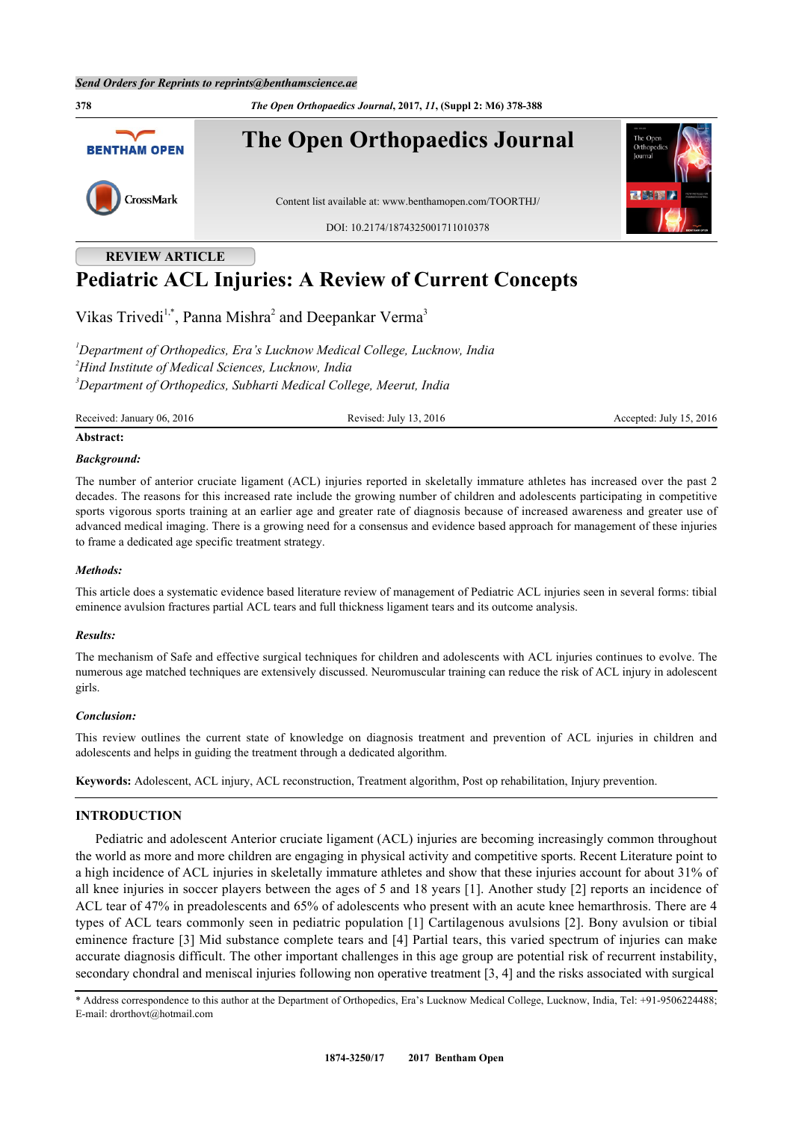**378** *The Open Orthopaedics Journal***, 2017,** *11***, (Suppl 2: M6) 378-388 The Open Orthopaedics Journal BENTHAM OPEN** CrossMark Content list available at: [www.benthamopen.com/TOORTHJ/](http://www.benthamopen.com/TOORTHJ/) DOI: [10.2174/1874325001711010378](http://dx.doi.org/10.2174/1874325001711010378)

# **REVIEW ARTICLE Pediatric ACL Injuries: A Review of Current Concepts**

Vikas Trivedi<sup>[1](#page-0-0),[\\*](#page-0-1)</sup>, Panna Mishra<sup>[2](#page-0-2)</sup> and Deepankar Verma<sup>[3](#page-0-3)</sup>

<span id="page-0-3"></span><span id="page-0-2"></span><span id="page-0-0"></span>*<sup>1</sup>Department of Orthopedics, Era's Lucknow Medical College, Lucknow, India <sup>2</sup>Hind Institute of Medical Sciences, Lucknow, India <sup>3</sup>Department of Orthopedics, Subharti Medical College, Meerut, India*

Received: January 06, 2016 **Revised: July 13, 2016** Revised: July 13, 2016 **Accepted: July 15, 2016** 

#### **Abstract:**

#### *Background:*

The number of anterior cruciate ligament (ACL) injuries reported in skeletally immature athletes has increased over the past 2 decades. The reasons for this increased rate include the growing number of children and adolescents participating in competitive sports vigorous sports training at an earlier age and greater rate of diagnosis because of increased awareness and greater use of advanced medical imaging. There is a growing need for a consensus and evidence based approach for management of these injuries to frame a dedicated age specific treatment strategy.

#### *Methods:*

This article does a systematic evidence based literature review of management of Pediatric ACL injuries seen in several forms: tibial eminence avulsion fractures partial ACL tears and full thickness ligament tears and its outcome analysis.

#### *Results:*

The mechanism of Safe and effective surgical techniques for children and adolescents with ACL injuries continues to evolve. The numerous age matched techniques are extensively discussed. Neuromuscular training can reduce the risk of ACL injury in adolescent girls.

#### *Conclusion:*

This review outlines the current state of knowledge on diagnosis treatment and prevention of ACL injuries in children and adolescents and helps in guiding the treatment through a dedicated algorithm.

**Keywords:** Adolescent, ACL injury, ACL reconstruction, Treatment algorithm, Post op rehabilitation, Injury prevention.

## **INTRODUCTION**

Pediatric and adolescent Anterior cruciate ligament (ACL) injuries are becoming increasingly common throughout the world as more and more children are engaging in physical activity and competitive sports. Recent Literature point to a high incidence of ACL injuries in skeletally immature athletes and show that these injuries account for about 31% of all knee injuries in soccer players between the ages of 5 and 18 years [\[1\]](#page-7-0). Another study [[2](#page-7-1)] reports an incidence of ACL tear of 47% in preadolescents and 65% of adolescents who present with an acute knee hemarthrosis. There are 4 types of ACL tears commonly seen in pediatric population [[1\]](#page-7-0) Cartilagenous avulsions [[2\]](#page-7-1). Bony avulsion or tibial eminence fracture [[3\]](#page-7-2) Mid substance complete tears and [[4](#page-7-3)] Partial tears, this varied spectrum of injuries can make accurate diagnosis difficult. The other important challenges in this age group are potential risk of recurrent instability, secondary chondral and meniscal injuries following non operative treatment [[3,](#page-7-2) [4\]](#page-7-3) and the risks associated with surgical

<span id="page-0-1"></span>\* Address correspondence to this author at the Department of Orthopedics, Era's Lucknow Medical College, Lucknow, India, Tel: +91-9506224488; E-mail: [drorthovt@hotmail.com](mailto:drorthovt@hotmail.com)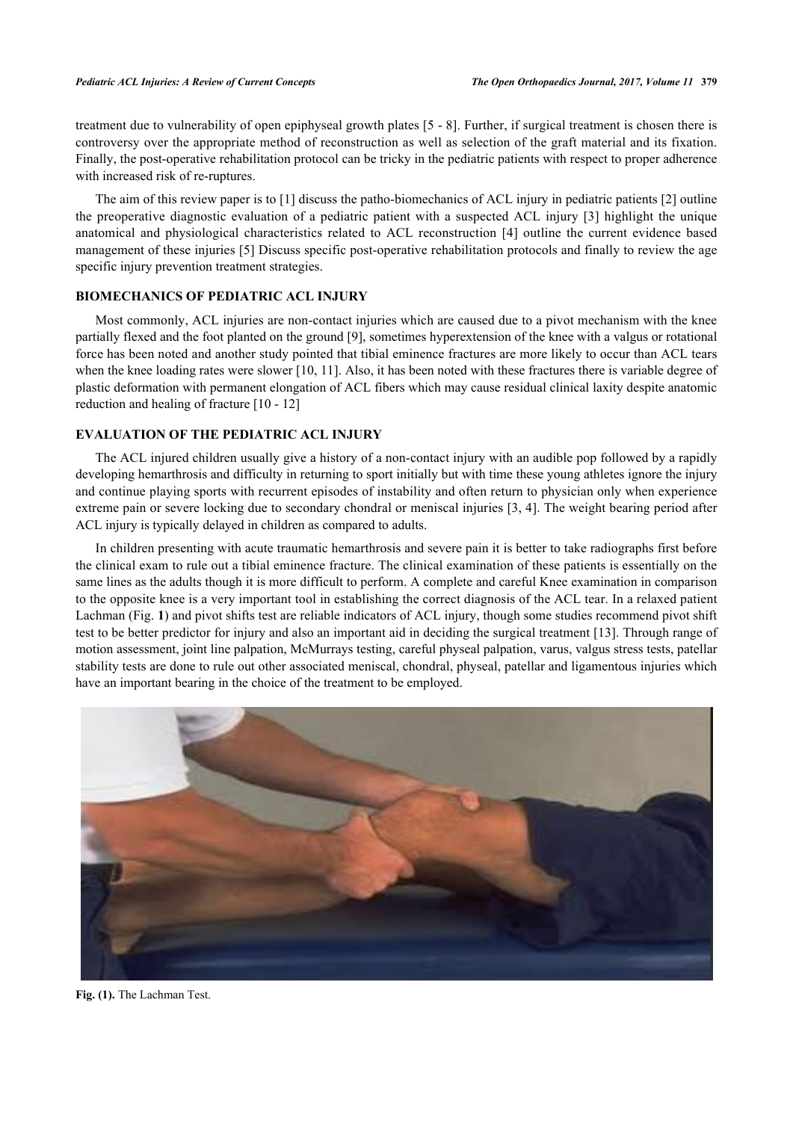treatment due to vulnerability of open epiphyseal growth plates [[5](#page-7-4) - [8\]](#page-8-0). Further, if surgical treatment is chosen there is controversy over the appropriate method of reconstruction as well as selection of the graft material and its fixation. Finally, the post-operative rehabilitation protocol can be tricky in the pediatric patients with respect to proper adherence with increased risk of re-ruptures.

The aim of this review paper is to [\[1](#page-7-0)] discuss the patho-biomechanics of ACL injury in pediatric patients [[2\]](#page-7-1) outline the preoperative diagnostic evaluation of a pediatric patient with a suspected ACL injury [[3\]](#page-7-2) highlight the unique anatomical and physiological characteristics related to ACL reconstruction [\[4\]](#page-7-3) outline the current evidence based management of these injuries [[5\]](#page-7-4) Discuss specific post-operative rehabilitation protocols and finally to review the age specific injury prevention treatment strategies.

## **BIOMECHANICS OF PEDIATRIC ACL INJURY**

Most commonly, ACL injuries are non-contact injuries which are caused due to a pivot mechanism with the knee partially flexed and the foot planted on the ground [[9\]](#page-8-1), sometimes hyperextension of the knee with a valgus or rotational force has been noted and another study pointed that tibial eminence fractures are more likely to occur than ACL tears when the knee loading rates were slower [[10,](#page-8-2) [11\]](#page-8-3). Also, it has been noted with these fractures there is variable degree of plastic deformation with permanent elongation of ACL fibers which may cause residual clinical laxity despite anatomic reduction and healing of fracture [[10](#page-8-2) - [12\]](#page-8-4)

## **EVALUATION OF THE PEDIATRIC ACL INJURY**

The ACL injured children usually give a history of a non-contact injury with an audible pop followed by a rapidly developing hemarthrosis and difficulty in returning to sport initially but with time these young athletes ignore the injury and continue playing sports with recurrent episodes of instability and often return to physician only when experience extreme pain or severe locking due to secondary chondral or meniscal injuries [\[3](#page-7-2), [4\]](#page-7-3). The weight bearing period after ACL injury is typically delayed in children as compared to adults.

In children presenting with acute traumatic hemarthrosis and severe pain it is better to take radiographs first before the clinical exam to rule out a tibial eminence fracture. The clinical examination of these patients is essentially on the same lines as the adults though it is more difficult to perform. A complete and careful Knee examination in comparison to the opposite knee is a very important tool in establishing the correct diagnosis of the ACL tear. In a relaxed patient Lachman (Fig. **[1](#page-1-0)**) and pivot shifts test are reliable indicators of ACL injury, though some studies recommend pivot shift test to be better predictor for injury and also an important aid in deciding the surgical treatment [\[13](#page-8-5)]. Through range of motion assessment, joint line palpation, McMurrays testing, careful physeal palpation, varus, valgus stress tests, patellar stability tests are done to rule out other associated meniscal, chondral, physeal, patellar and ligamentous injuries which have an important bearing in the choice of the treatment to be employed.

<span id="page-1-0"></span>

**Fig. (1).** The Lachman Test.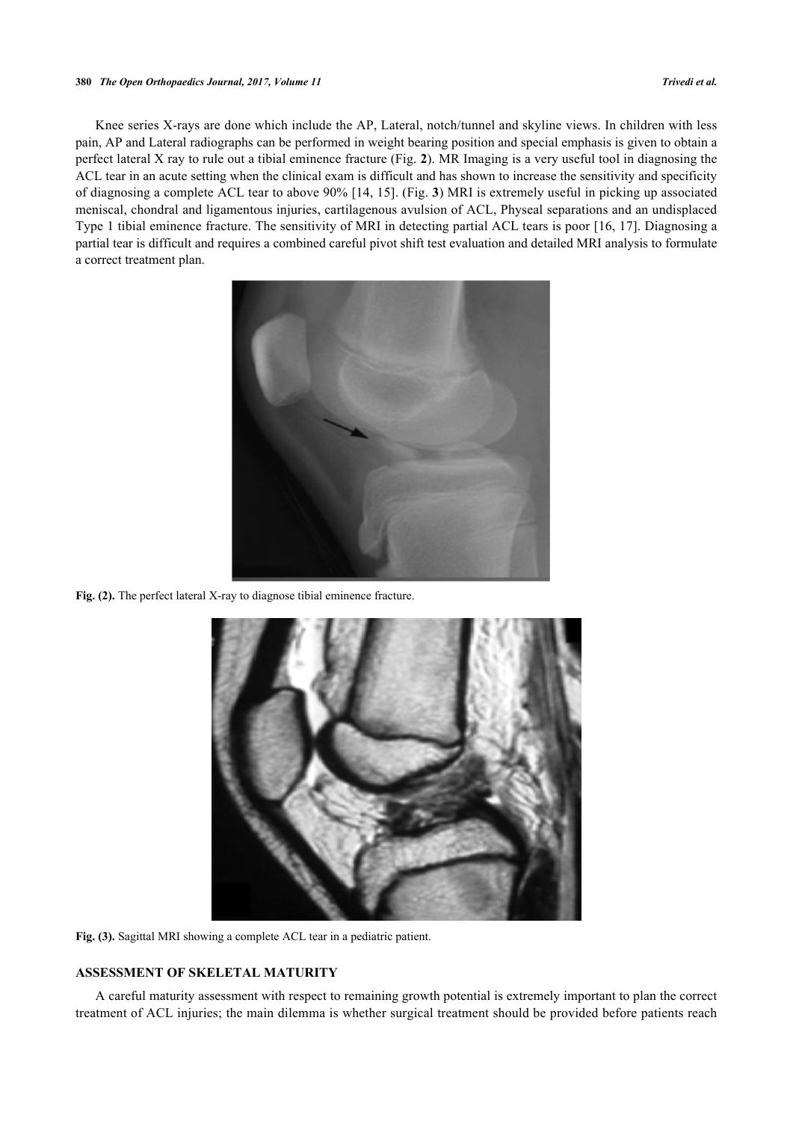#### **380** *The Open Orthopaedics Journal, 2017, Volume 11 Trivedi et al.*

<span id="page-2-0"></span>Knee series X-rays are done which include the AP, Lateral, notch/tunnel and skyline views. In children with less pain, AP and Lateral radiographs can be performed in weight bearing position and special emphasis is given to obtain a perfect lateral X ray to rule out a tibial eminence fracture (Fig. **[2](#page-2-0)**). MR Imaging is a very useful tool in diagnosing the ACL tear in an acute setting when the clinical exam is difficult and has shown to increase the sensitivity and specificity of diagnosing a complete ACL tear to above 90% [[14,](#page-8-6) [15](#page-8-7)]. (Fig. **[3](#page-2-1)**) MRI is extremely useful in picking up associated meniscal, chondral and ligamentous injuries, cartilagenous avulsion of ACL, Physeal separations and an undisplaced Type 1 tibial eminence fracture. The sensitivity of MRI in detecting partial ACL tears is poor [\[16,](#page-8-8) [17](#page-8-9)]. Diagnosing a partial tear is difficult and requires a combined careful pivot shift test evaluation and detailed MRI analysis to formulate a correct treatment plan.



**Fig. (2).** The perfect lateral X-ray to diagnose tibial eminence fracture.

<span id="page-2-1"></span>

**Fig. (3).** Sagittal MRI showing a complete ACL tear in a pediatric patient.

## **ASSESSMENT OF SKELETAL MATURITY**

A careful maturity assessment with respect to remaining growth potential is extremely important to plan the correct treatment of ACL injuries; the main dilemma is whether surgical treatment should be provided before patients reach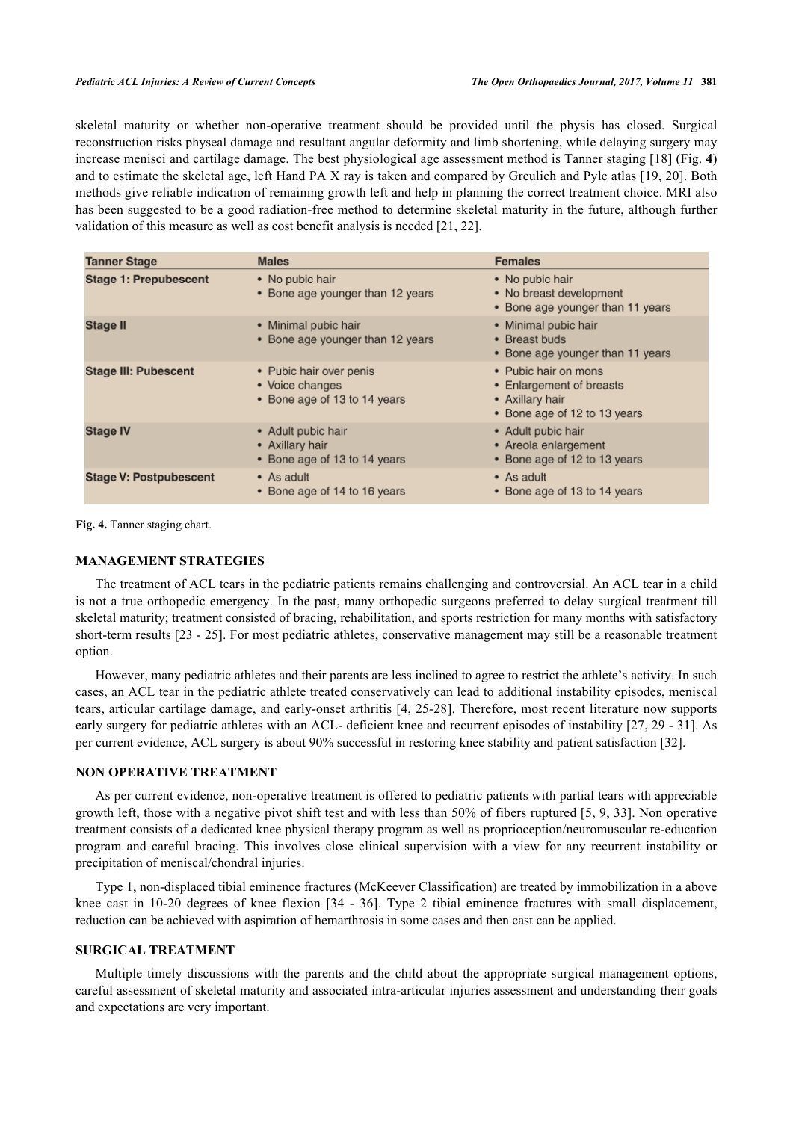skeletal maturity or whether non-operative treatment should be provided until the physis has closed. Surgical reconstruction risks physeal damage and resultant angular deformity and limb shortening, while delaying surgery may increase menisci and cartilage damage. The best physiological age assessment method is Tanner staging [\[18](#page-8-10)] (Fig. **[4](#page-3-0)**) and to estimate the skeletal age, left Hand PA X ray is taken and compared by Greulich and Pyle atlas [\[19](#page-8-11), [20](#page-8-12)]. Both methods give reliable indication of remaining growth left and help in planning the correct treatment choice. MRI also has been suggested to be a good radiation-free method to determine skeletal maturity in the future, although further validation of this measure as well as cost benefit analysis is needed [\[21](#page-8-13), [22](#page-8-14)].

<span id="page-3-0"></span>

| <b>Tanner Stage</b>           | <b>Males</b>                                                               | <b>Females</b>                                                                                      |  |
|-------------------------------|----------------------------------------------------------------------------|-----------------------------------------------------------------------------------------------------|--|
| <b>Stage 1: Prepubescent</b>  | • No pubic hair<br>• Bone age younger than 12 years                        | • No pubic hair<br>• No breast development<br>• Bone age younger than 11 years                      |  |
| <b>Stage II</b>               | • Minimal pubic hair<br>• Bone age younger than 12 years                   | • Minimal pubic hair<br>• Breast buds<br>• Bone age younger than 11 years                           |  |
| <b>Stage III: Pubescent</b>   | • Pubic hair over penis<br>• Voice changes<br>• Bone age of 13 to 14 years | • Pubic hair on mons<br>• Enlargement of breasts<br>• Axillary hair<br>• Bone age of 12 to 13 years |  |
| <b>Stage IV</b>               | • Adult pubic hair<br>• Axillary hair<br>• Bone age of 13 to 14 years      | • Adult pubic hair<br>• Areola enlargement<br>• Bone age of 12 to 13 years                          |  |
| <b>Stage V: Postpubescent</b> | • As adult<br>Bone age of 14 to 16 years                                   | • As adult<br>• Bone age of 13 to 14 years                                                          |  |

Fig. 4. Tanner staging chart.

## **MANAGEMENT STRATEGIES**

The treatment of ACL tears in the pediatric patients remains challenging and controversial. An ACL tear in a child is not a true orthopedic emergency. In the past, many orthopedic surgeons preferred to delay surgical treatment till skeletal maturity; treatment consisted of bracing, rehabilitation, and sports restriction for many months with satisfactory short-term results [[23](#page-8-15) - [25\]](#page-8-16). For most pediatric athletes, conservative management may still be a reasonable treatment option.

However, many pediatric athletes and their parents are less inclined to agree to restrict the athlete's activity. In such cases, an ACL tear in the pediatric athlete treated conservatively can lead to additional instability episodes, meniscal tears, articular cartilage damage, and early-onset arthritis [4, 25-28]. Therefore, most recent literature now supports early surgery for pediatric athletes with an ACL- deficient knee and recurrent episodes of instability [[27,](#page-8-17) [29](#page-9-0) - [31\]](#page-9-1). As per current evidence, ACL surgery is about 90% successful in restoring knee stability and patient satisfaction [\[32](#page-9-2)].

#### **NON OPERATIVE TREATMENT**

As per current evidence, non-operative treatment is offered to pediatric patients with partial tears with appreciable growth left, those with a negative pivot shift test and with less than 50% of fibers ruptured [[5,](#page-7-4) [9](#page-8-1), [33](#page-9-3)]. Non operative treatment consists of a dedicated knee physical therapy program as well as proprioception/neuromuscular re-education program and careful bracing. This involves close clinical supervision with a view for any recurrent instability or precipitation of meniscal/chondral injuries.

Type 1, non-displaced tibial eminence fractures (McKeever Classification) are treated by immobilization in a above knee cast in 10-20 degrees of knee flexion [\[34](#page-9-4) - [36](#page-9-5)]. Type 2 tibial eminence fractures with small displacement, reduction can be achieved with aspiration of hemarthrosis in some cases and then cast can be applied.

#### **SURGICAL TREATMENT**

Multiple timely discussions with the parents and the child about the appropriate surgical management options, careful assessment of skeletal maturity and associated intra-articular injuries assessment and understanding their goals and expectations are very important.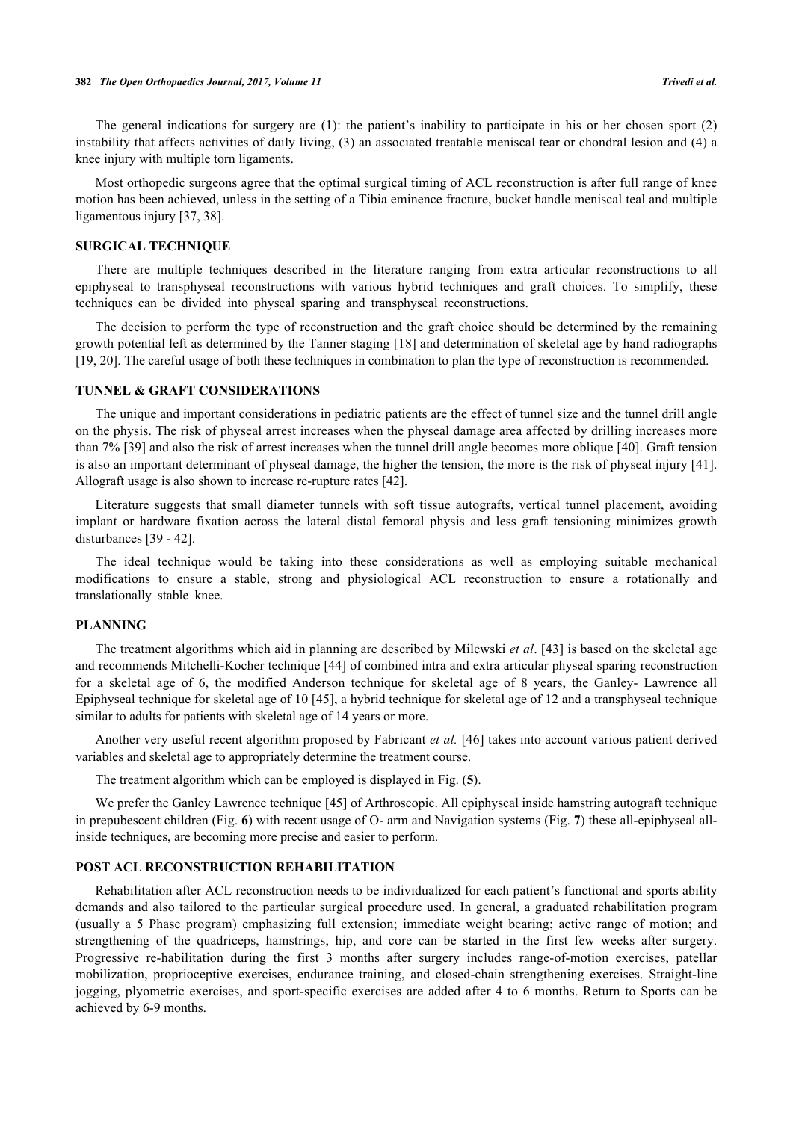The general indications for surgery are (1): the patient's inability to participate in his or her chosen sport (2) instability that affects activities of daily living, (3) an associated treatable meniscal tear or chondral lesion and (4) a knee injury with multiple torn ligaments.

Most orthopedic surgeons agree that the optimal surgical timing of ACL reconstruction is after full range of knee motion has been achieved, unless in the setting of a Tibia eminence fracture, bucket handle meniscal teal and multiple ligamentous injury [[37,](#page-9-6) [38\]](#page-9-7).

#### **SURGICAL TECHNIQUE**

There are multiple techniques described in the literature ranging from extra articular reconstructions to all epiphyseal to transphyseal reconstructions with various hybrid techniques and graft choices. To simplify, these techniques can be divided into physeal sparing and transphyseal reconstructions.

The decision to perform the type of reconstruction and the graft choice should be determined by the remaining growth potential left as determined by the Tanner staging [\[18](#page-8-10)] and determination of skeletal age by hand radiographs [\[19](#page-8-11), [20](#page-8-12)]. The careful usage of both these techniques in combination to plan the type of reconstruction is recommended.

## **TUNNEL & GRAFT CONSIDERATIONS**

The unique and important considerations in pediatric patients are the effect of tunnel size and the tunnel drill angle on the physis. The risk of physeal arrest increases when the physeal damage area affected by drilling increases more than 7% [\[39](#page-9-8)] and also the risk of arrest increases when the tunnel drill angle becomes more oblique [[40\]](#page-9-9). Graft tension is also an important determinant of physeal damage, the higher the tension, the more is the risk of physeal injury [[41\]](#page-9-10). Allograft usage is also shown to increase re-rupture rates [\[42](#page-9-11)].

Literature suggests that small diameter tunnels with soft tissue autografts, vertical tunnel placement, avoiding implant or hardware fixation across the lateral distal femoral physis and less graft tensioning minimizes growth disturbances [[39](#page-9-8) - [42\]](#page-9-11).

The ideal technique would be taking into these considerations as well as employing suitable mechanical modifications to ensure a stable, strong and physiological ACL reconstruction to ensure a rotationally and translationally stable knee.

## **PLANNING**

The treatment algorithms which aid in planning are described by Milewski *et al*. [[43\]](#page-9-12) is based on the skeletal age and recommends Mitchelli-Kocher technique [[44\]](#page-9-13) of combined intra and extra articular physeal sparing reconstruction for a skeletal age of 6, the modified Anderson technique for skeletal age of 8 years, the Ganley- Lawrence all Epiphyseal technique for skeletal age of 10 [\[45\]](#page-9-14), a hybrid technique for skeletal age of 12 and a transphyseal technique similar to adults for patients with skeletal age of 14 years or more.

Another very useful recent algorithm proposed by Fabricant *et al.* [[46](#page-9-15)] takes into account various patient derived variables and skeletal age to appropriately determine the treatment course.

The treatment algorithm which can be employed is displayed in Fig. (**[5](#page-4-0)**).

We prefer the Ganley Lawrence technique [\[45](#page-9-14)] of Arthroscopic. All epiphyseal inside hamstring autograft technique in prepubescent children (Fig. **[6](#page-5-0)**) with recent usage of O- arm and Navigation systems (Fig. **[7](#page-5-1)**) these all-epiphyseal allinside techniques, are becoming more precise and easier to perform.

## **POST ACL RECONSTRUCTION REHABILITATION**

<span id="page-4-0"></span>Rehabilitation after ACL reconstruction needs to be individualized for each patient's functional and sports ability demands and also tailored to the particular surgical procedure used. In general, a graduated rehabilitation program (usually a 5 Phase program) emphasizing full extension; immediate weight bearing; active range of motion; and strengthening of the quadriceps, hamstrings, hip, and core can be started in the first few weeks after surgery. Progressive re-habilitation during the first 3 months after surgery includes range-of-motion exercises, patellar mobilization, proprioceptive exercises, endurance training, and closed-chain strengthening exercises. Straight-line jogging, plyometric exercises, and sport-specific exercises are added after 4 to 6 months. Return to Sports can be achieved by 6-9 months.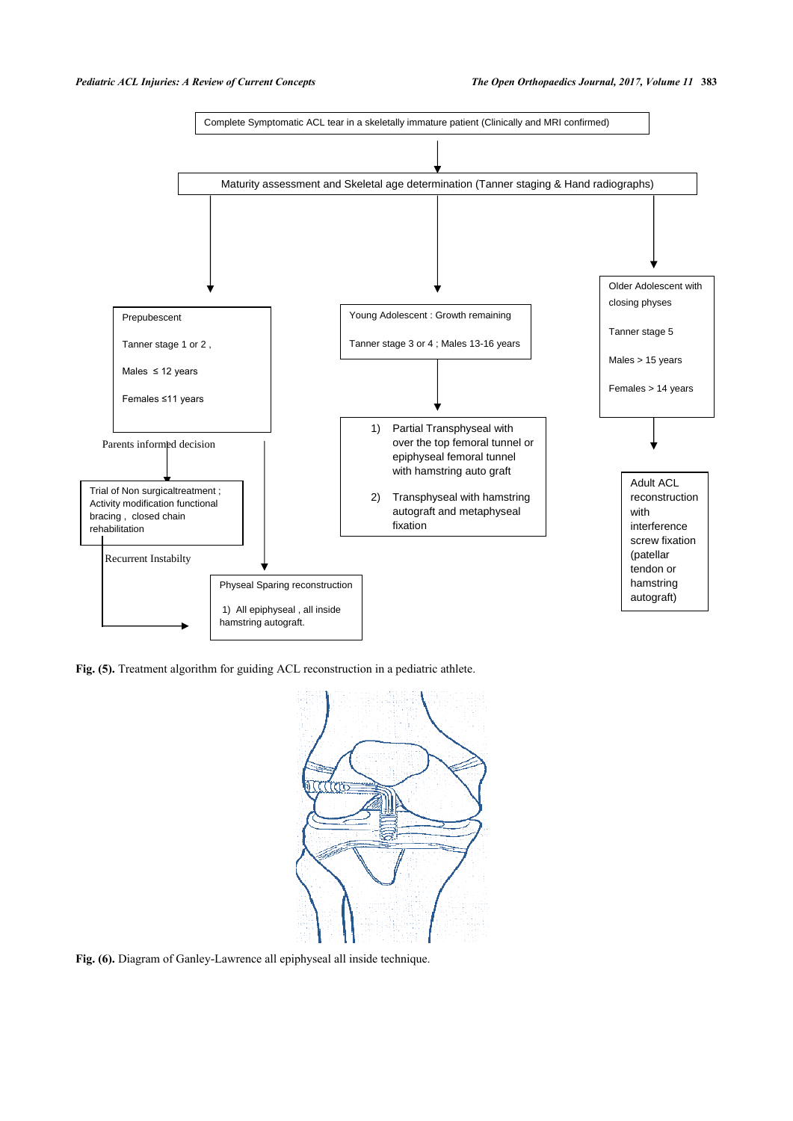

<span id="page-5-0"></span>Fig. (5). Treatment algorithm for guiding ACL reconstruction in a pediatric athlete.



<span id="page-5-1"></span>**Fig. (6).** Diagram of Ganley-Lawrence all epiphyseal all inside technique.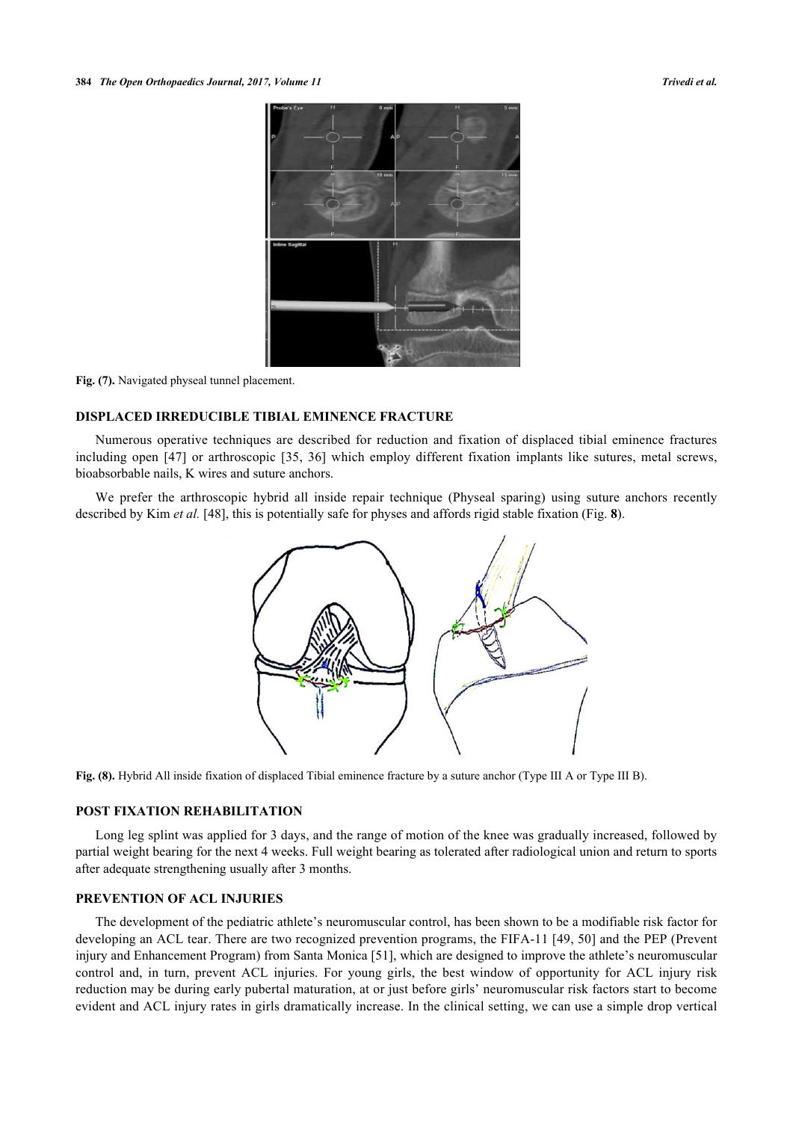

**Fig. (7).** Navigated physeal tunnel placement.

## **DISPLACED IRREDUCIBLE TIBIAL EMINENCE FRACTURE**

Numerous operative techniques are described for reduction and fixation of displaced tibial eminence fractures including open[[47\]](#page-9-16) or arthroscopic[[35,](#page-9-17) [36\]](#page-9-5) which employ different fixation implants like sutures, metal screws, bioabsorbable nails, K wires and suture anchors.

<span id="page-6-0"></span>We prefer the arthroscopic hybrid all inside repair technique (Physeal sparing) using suture anchors recently described by Kim *et al.* [\[48](#page-10-0)], this is potentially safe for physes and affords rigid stable fixation (Fig. **[8](#page-6-0)**).



**Fig. (8).** Hybrid All inside fixation of displaced Tibial eminence fracture by a suture anchor (Type III A or Type III B).

## **POST FIXATION REHABILITATION**

Long leg splint was applied for 3 days, and the range of motion of the knee was gradually increased, followed by partial weight bearing for the next 4 weeks. Full weight bearing as tolerated after radiological union and return to sports after adequate strengthening usually after 3 months.

## **PREVENTION OF ACL INJURIES**

The development of the pediatric athlete's neuromuscular control, has been shown to be a modifiable risk factor for developing an ACL tear. There are two recognized prevention programs, the FIFA-11 [[49](#page-10-1), [50](#page-10-2)] and the PEP (Prevent injury and Enhancement Program) from Santa Monica [[51\]](#page-10-3), which are designed to improve the athlete's neuromuscular control and, in turn, prevent ACL injuries. For young girls, the best window of opportunity for ACL injury risk reduction may be during early pubertal maturation, at or just before girls' neuromuscular risk factors start to become evident and ACL injury rates in girls dramatically increase. In the clinical setting, we can use a simple drop vertical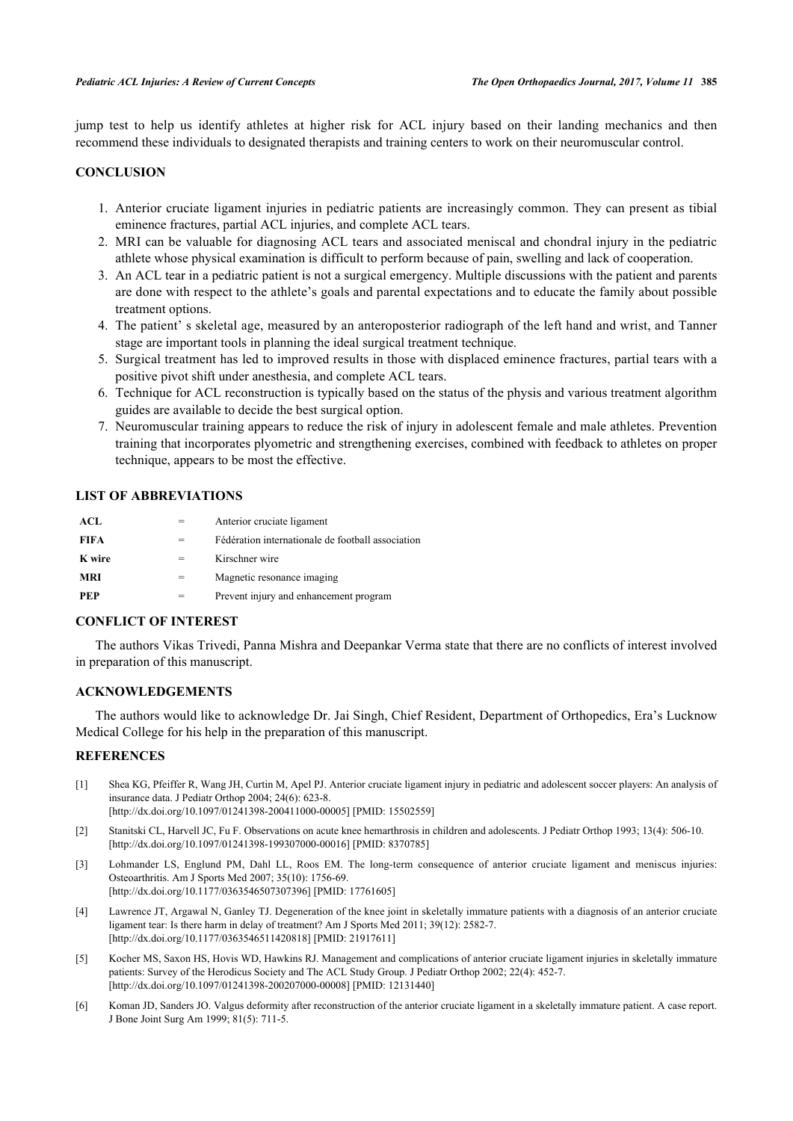jump test to help us identify athletes at higher risk for ACL injury based on their landing mechanics and then recommend these individuals to designated therapists and training centers to work on their neuromuscular control.

## **CONCLUSION**

- 1. Anterior cruciate ligament injuries in pediatric patients are increasingly common. They can present as tibial eminence fractures, partial ACL injuries, and complete ACL tears.
- 2. MRI can be valuable for diagnosing ACL tears and associated meniscal and chondral injury in the pediatric athlete whose physical examination is difficult to perform because of pain, swelling and lack of cooperation.
- 3. An ACL tear in a pediatric patient is not a surgical emergency. Multiple discussions with the patient and parents are done with respect to the athlete's goals and parental expectations and to educate the family about possible treatment options.
- 4. The patient' s skeletal age, measured by an anteroposterior radiograph of the left hand and wrist, and Tanner stage are important tools in planning the ideal surgical treatment technique.
- 5. Surgical treatment has led to improved results in those with displaced eminence fractures, partial tears with a positive pivot shift under anesthesia, and complete ACL tears.
- 6. Technique for ACL reconstruction is typically based on the status of the physis and various treatment algorithm guides are available to decide the best surgical option.
- 7. Neuromuscular training appears to reduce the risk of injury in adolescent female and male athletes. Prevention training that incorporates plyometric and strengthening exercises, combined with feedback to athletes on proper technique, appears to be most the effective.

## **LIST OF ABBREVIATIONS**

| ACL         |     | Anterior cruciate ligament                        |
|-------------|-----|---------------------------------------------------|
| <b>FIFA</b> |     | Fédération internationale de football association |
| K wire      | $=$ | Kirschner wire                                    |
| <b>MRI</b>  |     | Magnetic resonance imaging                        |
| <b>PEP</b>  |     | Prevent injury and enhancement program            |

## **CONFLICT OF INTEREST**

The authors Vikas Trivedi, Panna Mishra and Deepankar Verma state that there are no conflicts of interest involved in preparation of this manuscript.

#### **ACKNOWLEDGEMENTS**

The authors would like to acknowledge Dr. Jai Singh, Chief Resident, Department of Orthopedics, Era's Lucknow Medical College for his help in the preparation of this manuscript.

### **REFERENCES**

- <span id="page-7-0"></span>[1] Shea KG, Pfeiffer R, Wang JH, Curtin M, Apel PJ. Anterior cruciate ligament injury in pediatric and adolescent soccer players: An analysis of insurance data. J Pediatr Orthop 2004; 24(6): 623-8. [\[http://dx.doi.org/10.1097/01241398-200411000-00005](http://dx.doi.org/10.1097/01241398-200411000-00005)] [PMID: [15502559\]](http://www.ncbi.nlm.nih.gov/pubmed/15502559)
- <span id="page-7-1"></span>[2] Stanitski CL, Harvell JC, Fu F. Observations on acute knee hemarthrosis in children and adolescents. J Pediatr Orthop 1993; 13(4): 506-10. [\[http://dx.doi.org/10.1097/01241398-199307000-00016](http://dx.doi.org/10.1097/01241398-199307000-00016)] [PMID: [8370785\]](http://www.ncbi.nlm.nih.gov/pubmed/8370785)
- <span id="page-7-2"></span>[3] Lohmander LS, Englund PM, Dahl LL, Roos EM. The long-term consequence of anterior cruciate ligament and meniscus injuries: Osteoarthritis. Am J Sports Med 2007; 35(10): 1756-69. [\[http://dx.doi.org/10.1177/0363546507307396\]](http://dx.doi.org/10.1177/0363546507307396) [PMID: [17761605](http://www.ncbi.nlm.nih.gov/pubmed/17761605)]
- <span id="page-7-3"></span>[4] Lawrence JT, Argawal N, Ganley TJ. Degeneration of the knee joint in skeletally immature patients with a diagnosis of an anterior cruciate ligament tear: Is there harm in delay of treatment? Am J Sports Med 2011; 39(12): 2582-7. [\[http://dx.doi.org/10.1177/0363546511420818\]](http://dx.doi.org/10.1177/0363546511420818) [PMID: [21917611](http://www.ncbi.nlm.nih.gov/pubmed/21917611)]
- <span id="page-7-4"></span>[5] Kocher MS, Saxon HS, Hovis WD, Hawkins RJ. Management and complications of anterior cruciate ligament injuries in skeletally immature patients: Survey of the Herodicus Society and The ACL Study Group. J Pediatr Orthop 2002; 22(4): 452-7. [\[http://dx.doi.org/10.1097/01241398-200207000-00008](http://dx.doi.org/10.1097/01241398-200207000-00008)] [PMID: [12131440\]](http://www.ncbi.nlm.nih.gov/pubmed/12131440)
- [6] Koman JD, Sanders JO. Valgus deformity after reconstruction of the anterior cruciate ligament in a skeletally immature patient. A case report. J Bone Joint Surg Am 1999; 81(5): 711-5.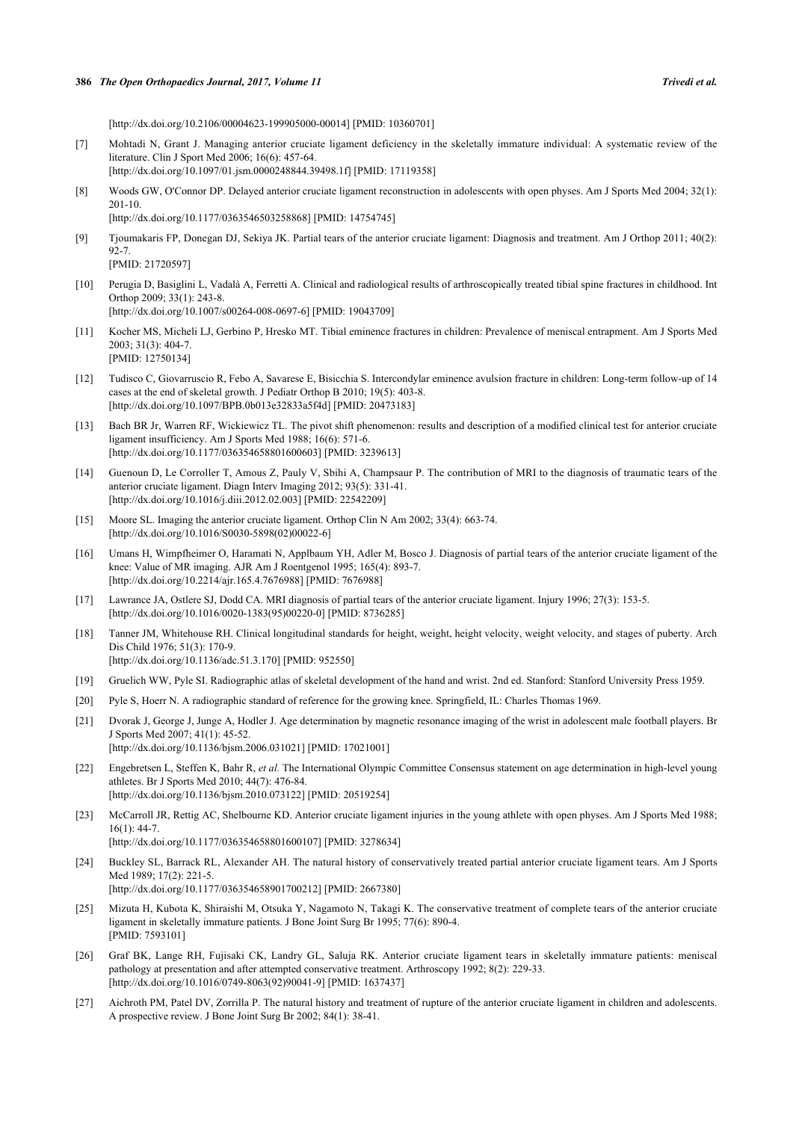[\[http://dx.doi.org/10.2106/00004623-199905000-00014](http://dx.doi.org/10.2106/00004623-199905000-00014)] [PMID: [10360701\]](http://www.ncbi.nlm.nih.gov/pubmed/10360701)

- [7] Mohtadi N, Grant J. Managing anterior cruciate ligament deficiency in the skeletally immature individual: A systematic review of the literature. Clin J Sport Med 2006; 16(6): 457-64. [\[http://dx.doi.org/10.1097/01.jsm.0000248844.39498.1f](http://dx.doi.org/10.1097/01.jsm.0000248844.39498.1f)] [PMID: [17119358\]](http://www.ncbi.nlm.nih.gov/pubmed/17119358)
- <span id="page-8-0"></span>[8] Woods GW, O'Connor DP. Delayed anterior cruciate ligament reconstruction in adolescents with open physes. Am J Sports Med 2004; 32(1): 201-10.

[\[http://dx.doi.org/10.1177/0363546503258868\]](http://dx.doi.org/10.1177/0363546503258868) [PMID: [14754745](http://www.ncbi.nlm.nih.gov/pubmed/14754745)]

- <span id="page-8-1"></span>[9] Tjoumakaris FP, Donegan DJ, Sekiya JK. Partial tears of the anterior cruciate ligament: Diagnosis and treatment. Am J Orthop 2011; 40(2): 92-7. [PMID: [21720597\]](http://www.ncbi.nlm.nih.gov/pubmed/21720597)
- <span id="page-8-2"></span>[10] Perugia D, Basiglini L, Vadalà A, Ferretti A. Clinical and radiological results of arthroscopically treated tibial spine fractures in childhood. Int Orthop 2009; 33(1): 243-8. [\[http://dx.doi.org/10.1007/s00264-008-0697-6\]](http://dx.doi.org/10.1007/s00264-008-0697-6) [PMID: [19043709](http://www.ncbi.nlm.nih.gov/pubmed/19043709)]
- <span id="page-8-3"></span>[11] Kocher MS, Micheli LJ, Gerbino P, Hresko MT. Tibial eminence fractures in children: Prevalence of meniscal entrapment. Am J Sports Med 2003; 31(3): 404-7. [PMID: [12750134\]](http://www.ncbi.nlm.nih.gov/pubmed/12750134)
- <span id="page-8-4"></span>[12] Tudisco C, Giovarruscio R, Febo A, Savarese E, Bisicchia S. Intercondylar eminence avulsion fracture in children: Long-term follow-up of 14 cases at the end of skeletal growth. J Pediatr Orthop B 2010; 19(5): 403-8. [\[http://dx.doi.org/10.1097/BPB.0b013e32833a5f4d\]](http://dx.doi.org/10.1097/BPB.0b013e32833a5f4d) [PMID: [20473183](http://www.ncbi.nlm.nih.gov/pubmed/20473183)]
- <span id="page-8-5"></span>[13] Bach BR Jr, Warren RF, Wickiewicz TL. The pivot shift phenomenon: results and description of a modified clinical test for anterior cruciate ligament insufficiency. Am J Sports Med 1988; 16(6): 571-6. [\[http://dx.doi.org/10.1177/036354658801600603\]](http://dx.doi.org/10.1177/036354658801600603) [PMID: [3239613](http://www.ncbi.nlm.nih.gov/pubmed/3239613)]
- <span id="page-8-6"></span>[14] Guenoun D, Le Corroller T, Amous Z, Pauly V, Sbihi A, Champsaur P. The contribution of MRI to the diagnosis of traumatic tears of the anterior cruciate ligament. Diagn Interv Imaging 2012; 93(5): 331-41. [\[http://dx.doi.org/10.1016/j.diii.2012.02.003\]](http://dx.doi.org/10.1016/j.diii.2012.02.003) [PMID: [22542209](http://www.ncbi.nlm.nih.gov/pubmed/22542209)]
- <span id="page-8-7"></span>[15] Moore SL. Imaging the anterior cruciate ligament. Orthop Clin N Am 2002; 33(4): 663-74. [\[http://dx.doi.org/10.1016/S0030-5898\(02\)00022-6\]](http://dx.doi.org/10.1016/S0030-5898(02)00022-6)
- <span id="page-8-8"></span>[16] Umans H, Wimpfheimer O, Haramati N, Applbaum YH, Adler M, Bosco J. Diagnosis of partial tears of the anterior cruciate ligament of the knee: Value of MR imaging. AJR Am J Roentgenol 1995; 165(4): 893-7. [\[http://dx.doi.org/10.2214/ajr.165.4.7676988](http://dx.doi.org/10.2214/ajr.165.4.7676988)] [PMID: [7676988\]](http://www.ncbi.nlm.nih.gov/pubmed/7676988)
- <span id="page-8-9"></span>[17] Lawrance JA, Ostlere SJ, Dodd CA. MRI diagnosis of partial tears of the anterior cruciate ligament. Injury 1996; 27(3): 153-5. [\[http://dx.doi.org/10.1016/0020-1383\(95\)00220-0](http://dx.doi.org/10.1016/0020-1383(95)00220-0)] [PMID: [8736285](http://www.ncbi.nlm.nih.gov/pubmed/8736285)]
- <span id="page-8-10"></span>[18] Tanner JM, Whitehouse RH. Clinical longitudinal standards for height, weight, height velocity, weight velocity, and stages of puberty. Arch Dis Child 1976; 51(3): 170-9. [\[http://dx.doi.org/10.1136/adc.51.3.170\]](http://dx.doi.org/10.1136/adc.51.3.170) [PMID: [952550](http://www.ncbi.nlm.nih.gov/pubmed/952550)]
- <span id="page-8-11"></span>[19] Gruelich WW, Pyle SI. Radiographic atlas of skeletal development of the hand and wrist. 2nd ed. Stanford: Stanford University Press 1959.
- <span id="page-8-12"></span>[20] Pyle S, Hoerr N. A radiographic standard of reference for the growing knee. Springfield, IL: Charles Thomas 1969.
- <span id="page-8-13"></span>[21] Dvorak J, George J, Junge A, Hodler J. Age determination by magnetic resonance imaging of the wrist in adolescent male football players. Br J Sports Med 2007; 41(1): 45-52.
	- [\[http://dx.doi.org/10.1136/bjsm.2006.031021](http://dx.doi.org/10.1136/bjsm.2006.031021)] [PMID: [17021001\]](http://www.ncbi.nlm.nih.gov/pubmed/17021001)
- <span id="page-8-14"></span>[22] Engebretsen L, Steffen K, Bahr R, *et al.* The International Olympic Committee Consensus statement on age determination in high-level young athletes. Br J Sports Med 2010; 44(7): 476-84. [\[http://dx.doi.org/10.1136/bjsm.2010.073122](http://dx.doi.org/10.1136/bjsm.2010.073122)] [PMID: [20519254\]](http://www.ncbi.nlm.nih.gov/pubmed/20519254)
- <span id="page-8-15"></span>[23] McCarroll JR, Rettig AC, Shelbourne KD. Anterior cruciate ligament injuries in the young athlete with open physes. Am J Sports Med 1988;  $16(1)$ : 44-7

[\[http://dx.doi.org/10.1177/036354658801600107\]](http://dx.doi.org/10.1177/036354658801600107) [PMID: [3278634](http://www.ncbi.nlm.nih.gov/pubmed/3278634)]

[24] Buckley SL, Barrack RL, Alexander AH. The natural history of conservatively treated partial anterior cruciate ligament tears. Am J Sports Med 1989; 17(2): 221-5.

[\[http://dx.doi.org/10.1177/036354658901700212\]](http://dx.doi.org/10.1177/036354658901700212) [PMID: [2667380](http://www.ncbi.nlm.nih.gov/pubmed/2667380)]

- <span id="page-8-16"></span>[25] Mizuta H, Kubota K, Shiraishi M, Otsuka Y, Nagamoto N, Takagi K. The conservative treatment of complete tears of the anterior cruciate ligament in skeletally immature patients. J Bone Joint Surg Br 1995; 77(6): 890-4. [PMID: [7593101\]](http://www.ncbi.nlm.nih.gov/pubmed/7593101)
- [26] Graf BK, Lange RH, Fujisaki CK, Landry GL, Saluja RK. Anterior cruciate ligament tears in skeletally immature patients: meniscal pathology at presentation and after attempted conservative treatment. Arthroscopy 1992; 8(2): 229-33. [\[http://dx.doi.org/10.1016/0749-8063\(92\)90041-9](http://dx.doi.org/10.1016/0749-8063(92)90041-9)] [PMID: [1637437](http://www.ncbi.nlm.nih.gov/pubmed/1637437)]
- <span id="page-8-17"></span>[27] Aichroth PM, Patel DV, Zorrilla P. The natural history and treatment of rupture of the anterior cruciate ligament in children and adolescents. A prospective review. J Bone Joint Surg Br 2002; 84(1): 38-41.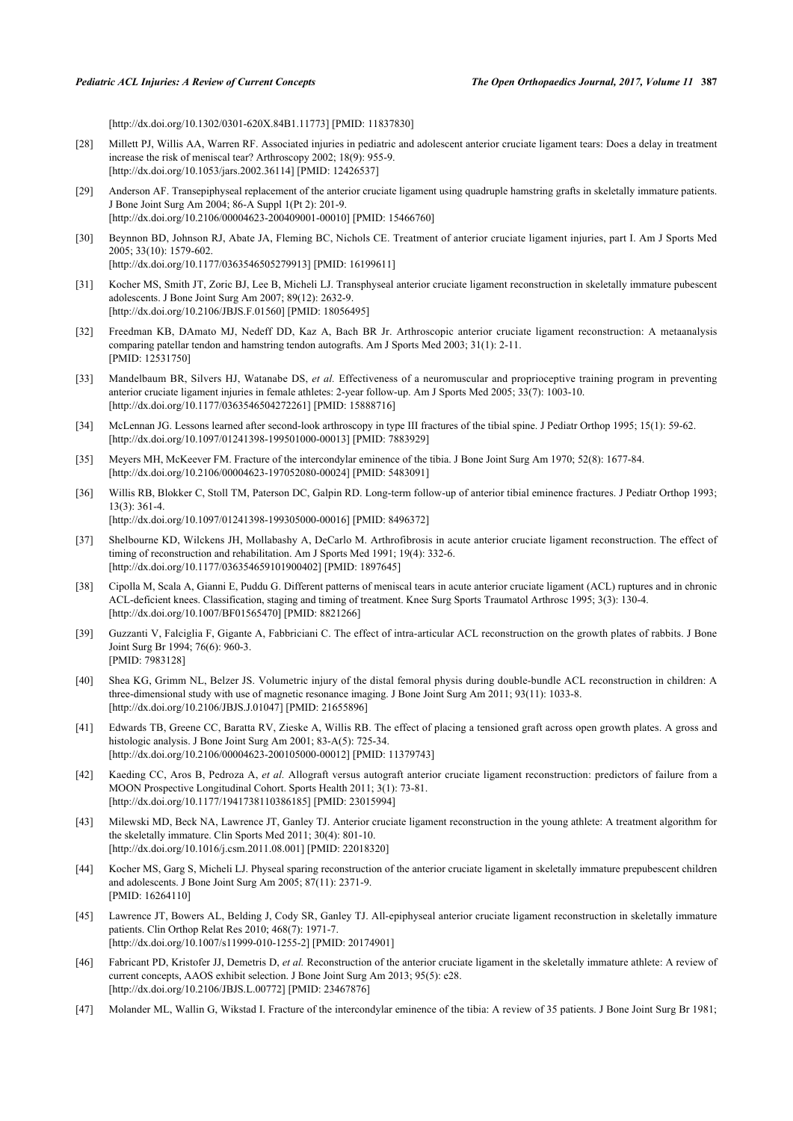[\[http://dx.doi.org/10.1302/0301-620X.84B1.11773\]](http://dx.doi.org/10.1302/0301-620X.84B1.11773) [PMID: [11837830](http://www.ncbi.nlm.nih.gov/pubmed/11837830)]

- [28] Millett PJ, Willis AA, Warren RF. Associated injuries in pediatric and adolescent anterior cruciate ligament tears: Does a delay in treatment increase the risk of meniscal tear? Arthroscopy 2002; 18(9): 955-9. [\[http://dx.doi.org/10.1053/jars.2002.36114](http://dx.doi.org/10.1053/jars.2002.36114)] [PMID: [12426537\]](http://www.ncbi.nlm.nih.gov/pubmed/12426537)
- <span id="page-9-0"></span>[29] Anderson AF. Transepiphyseal replacement of the anterior cruciate ligament using quadruple hamstring grafts in skeletally immature patients. J Bone Joint Surg Am 2004; 86-A Suppl 1(Pt 2): 201-9. [\[http://dx.doi.org/10.2106/00004623-200409001-00010](http://dx.doi.org/10.2106/00004623-200409001-00010)] [PMID: [15466760\]](http://www.ncbi.nlm.nih.gov/pubmed/15466760)
- [30] Beynnon BD, Johnson RJ, Abate JA, Fleming BC, Nichols CE. Treatment of anterior cruciate ligament injuries, part I. Am J Sports Med 2005; 33(10): 1579-602. [\[http://dx.doi.org/10.1177/0363546505279913\]](http://dx.doi.org/10.1177/0363546505279913) [PMID: [16199611](http://www.ncbi.nlm.nih.gov/pubmed/16199611)]
- <span id="page-9-1"></span>[31] Kocher MS, Smith JT, Zoric BJ, Lee B, Micheli LJ. Transphyseal anterior cruciate ligament reconstruction in skeletally immature pubescent adolescents. J Bone Joint Surg Am 2007; 89(12): 2632-9. [\[http://dx.doi.org/10.2106/JBJS.F.01560](http://dx.doi.org/10.2106/JBJS.F.01560)] [PMID: [18056495\]](http://www.ncbi.nlm.nih.gov/pubmed/18056495)
- <span id="page-9-2"></span>[32] Freedman KB, DAmato MJ, Nedeff DD, Kaz A, Bach BR Jr. Arthroscopic anterior cruciate ligament reconstruction: A metaanalysis comparing patellar tendon and hamstring tendon autografts. Am J Sports Med 2003; 31(1): 2-11. [PMID: [12531750\]](http://www.ncbi.nlm.nih.gov/pubmed/12531750)
- <span id="page-9-3"></span>[33] Mandelbaum BR, Silvers HJ, Watanabe DS, *et al.* Effectiveness of a neuromuscular and proprioceptive training program in preventing anterior cruciate ligament injuries in female athletes: 2-year follow-up. Am J Sports Med 2005; 33(7): 1003-10. [\[http://dx.doi.org/10.1177/0363546504272261\]](http://dx.doi.org/10.1177/0363546504272261) [PMID: [15888716](http://www.ncbi.nlm.nih.gov/pubmed/15888716)]
- <span id="page-9-4"></span>[34] McLennan JG. Lessons learned after second-look arthroscopy in type III fractures of the tibial spine. J Pediatr Orthop 1995; 15(1): 59-62. [\[http://dx.doi.org/10.1097/01241398-199501000-00013](http://dx.doi.org/10.1097/01241398-199501000-00013)] [PMID: [7883929\]](http://www.ncbi.nlm.nih.gov/pubmed/7883929)
- <span id="page-9-17"></span>[35] Meyers MH, McKeever FM. Fracture of the intercondylar eminence of the tibia. J Bone Joint Surg Am 1970; 52(8): 1677-84. [\[http://dx.doi.org/10.2106/00004623-197052080-00024](http://dx.doi.org/10.2106/00004623-197052080-00024)] [PMID: [5483091\]](http://www.ncbi.nlm.nih.gov/pubmed/5483091)
- <span id="page-9-5"></span>[36] Willis RB, Blokker C, Stoll TM, Paterson DC, Galpin RD. Long-term follow-up of anterior tibial eminence fractures. J Pediatr Orthop 1993; 13(3): 361-4. [\[http://dx.doi.org/10.1097/01241398-199305000-00016](http://dx.doi.org/10.1097/01241398-199305000-00016)] [PMID: [8496372\]](http://www.ncbi.nlm.nih.gov/pubmed/8496372)
- <span id="page-9-6"></span>[37] Shelbourne KD, Wilckens JH, Mollabashy A, DeCarlo M. Arthrofibrosis in acute anterior cruciate ligament reconstruction. The effect of timing of reconstruction and rehabilitation. Am J Sports Med 1991; 19(4): 332-6. [\[http://dx.doi.org/10.1177/036354659101900402\]](http://dx.doi.org/10.1177/036354659101900402) [PMID: [1897645](http://www.ncbi.nlm.nih.gov/pubmed/1897645)]
- <span id="page-9-7"></span>[38] Cipolla M, Scala A, Gianni E, Puddu G. Different patterns of meniscal tears in acute anterior cruciate ligament (ACL) ruptures and in chronic ACL-deficient knees. Classification, staging and timing of treatment. Knee Surg Sports Traumatol Arthrosc 1995; 3(3): 130-4. [\[http://dx.doi.org/10.1007/BF01565470\]](http://dx.doi.org/10.1007/BF01565470) [PMID: [8821266](http://www.ncbi.nlm.nih.gov/pubmed/8821266)]
- <span id="page-9-8"></span>[39] Guzzanti V, Falciglia F, Gigante A, Fabbriciani C. The effect of intra-articular ACL reconstruction on the growth plates of rabbits. J Bone Joint Surg Br 1994; 76(6): 960-3. [PMID: [7983128\]](http://www.ncbi.nlm.nih.gov/pubmed/7983128)
- <span id="page-9-9"></span>[40] Shea KG, Grimm NL, Belzer JS. Volumetric injury of the distal femoral physis during double-bundle ACL reconstruction in children: A three-dimensional study with use of magnetic resonance imaging. J Bone Joint Surg Am 2011; 93(11): 1033-8. [\[http://dx.doi.org/10.2106/JBJS.J.01047\]](http://dx.doi.org/10.2106/JBJS.J.01047) [PMID: [21655896](http://www.ncbi.nlm.nih.gov/pubmed/21655896)]
- <span id="page-9-10"></span>[41] Edwards TB, Greene CC, Baratta RV, Zieske A, Willis RB. The effect of placing a tensioned graft across open growth plates. A gross and histologic analysis. J Bone Joint Surg Am 2001; 83-A(5): 725-34. [\[http://dx.doi.org/10.2106/00004623-200105000-00012](http://dx.doi.org/10.2106/00004623-200105000-00012)] [PMID: [11379743\]](http://www.ncbi.nlm.nih.gov/pubmed/11379743)
- <span id="page-9-11"></span>[42] Kaeding CC, Aros B, Pedroza A, *et al.* Allograft versus autograft anterior cruciate ligament reconstruction: predictors of failure from a MOON Prospective Longitudinal Cohort. Sports Health 2011; 3(1): 73-81. [\[http://dx.doi.org/10.1177/1941738110386185\]](http://dx.doi.org/10.1177/1941738110386185) [PMID: [23015994](http://www.ncbi.nlm.nih.gov/pubmed/23015994)]
- <span id="page-9-12"></span>[43] Milewski MD, Beck NA, Lawrence JT, Ganley TJ. Anterior cruciate ligament reconstruction in the young athlete: A treatment algorithm for the skeletally immature. Clin Sports Med 2011; 30(4): 801-10. [\[http://dx.doi.org/10.1016/j.csm.2011.08.001\]](http://dx.doi.org/10.1016/j.csm.2011.08.001) [PMID: [22018320](http://www.ncbi.nlm.nih.gov/pubmed/22018320)]
- <span id="page-9-13"></span>[44] Kocher MS, Garg S, Micheli LJ. Physeal sparing reconstruction of the anterior cruciate ligament in skeletally immature prepubescent children and adolescents. J Bone Joint Surg Am 2005; 87(11): 2371-9. [PMID: [16264110\]](http://www.ncbi.nlm.nih.gov/pubmed/16264110)
- <span id="page-9-14"></span>[45] Lawrence JT, Bowers AL, Belding J, Cody SR, Ganley TJ. All-epiphyseal anterior cruciate ligament reconstruction in skeletally immature patients. Clin Orthop Relat Res 2010; 468(7): 1971-7. [\[http://dx.doi.org/10.1007/s11999-010-1255-2\]](http://dx.doi.org/10.1007/s11999-010-1255-2) [PMID: [20174901](http://www.ncbi.nlm.nih.gov/pubmed/20174901)]
- <span id="page-9-15"></span>[46] Fabricant PD, Kristofer JJ, Demetris D, *et al.* Reconstruction of the anterior cruciate ligament in the skeletally immature athlete: A review of current concepts, AAOS exhibit selection. J Bone Joint Surg Am 2013; 95(5): e28. [\[http://dx.doi.org/10.2106/JBJS.L.00772\]](http://dx.doi.org/10.2106/JBJS.L.00772) [PMID: [23467876](http://www.ncbi.nlm.nih.gov/pubmed/23467876)]
- <span id="page-9-16"></span>[47] Molander ML, Wallin G, Wikstad I. Fracture of the intercondylar eminence of the tibia: A review of 35 patients. J Bone Joint Surg Br 1981;